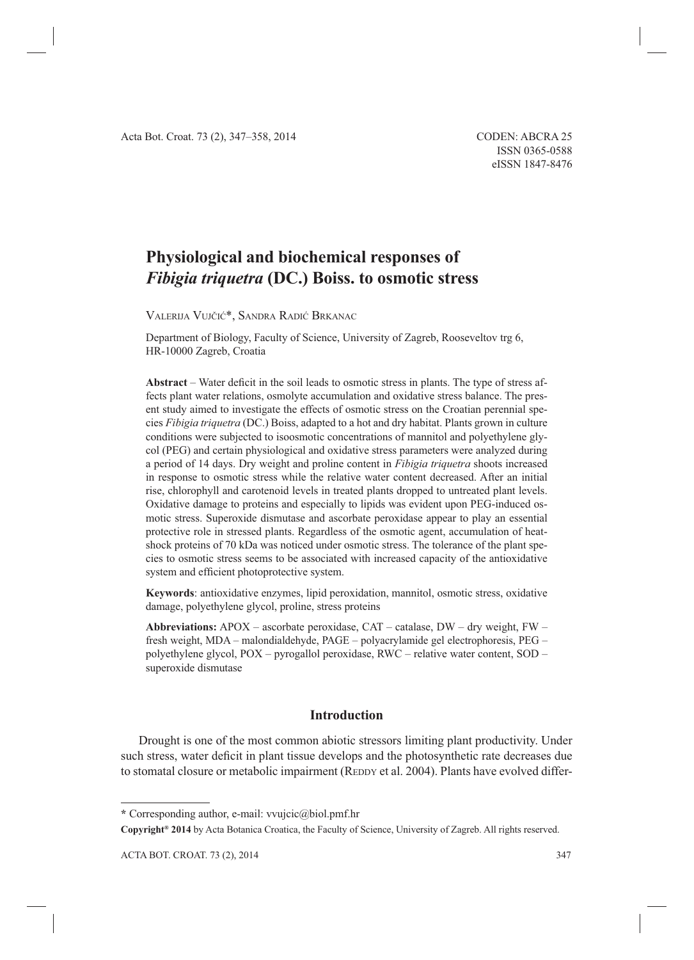# **Physiological and biochemical responses of** *Fibigia triquetra* **(DC.) Boiss. to osmotic stress**

VALERIJA VUJČIĆ\*, SANDRA RADIĆ BRKANAC

Department of Biology, Faculty of Science, University of Zagreb, Rooseveltov trg 6, HR-10000 Zagreb, Croatia

**Abstract** – Water deficit in the soil leads to osmotic stress in plants. The type of stress affects plant water relations, osmolyte accumulation and oxidative stress balance. The present study aimed to investigate the effects of osmotic stress on the Croatian perennial species *Fibigia triquetra* (DC.) Boiss, adapted to a hot and dry habitat. Plants grown in culture conditions were subjected to isoosmotic concentrations of mannitol and polyethylene glycol (PEG) and certain physiological and oxidative stress parameters were analyzed during a period of 14 days. Dry weight and proline content in *Fibigia triquetra* shoots increased in response to osmotic stress while the relative water content decreased. After an initial rise, chlorophyll and carotenoid levels in treated plants dropped to untreated plant levels. Oxidative damage to proteins and especially to lipids was evident upon PEG-induced osmotic stress. Superoxide dismutase and ascorbate peroxidase appear to play an essential protective role in stressed plants. Regardless of the osmotic agent, accumulation of heatshock proteins of 70 kDa was noticed under osmotic stress. The tolerance of the plant species to osmotic stress seems to be associated with increased capacity of the antioxidative system and efficient photoprotective system.

**Keywords**: antioxidative enzymes, lipid peroxidation, mannitol, osmotic stress, oxidative damage, polyethylene glycol, proline, stress proteins

**Abbreviations:** APOX – ascorbate peroxidase, CAT – catalase, DW – dry weight, FW – fresh weight, MDA – malondialdehyde, PAGE – polyacrylamide gel electrophoresis, PEG – polyethylene glycol, POX – pyrogallol peroxidase, RWC – relative water content, SOD – superoxide dismutase

## **Introduction**

Drought is one of the most common abiotic stressors limiting plant productivity. Under such stress, water deficit in plant tissue develops and the photosynthetic rate decreases due to stomatal closure or metabolic impairment (REDDY et al. 2004). Plants have evolved differ-

**<sup>\*</sup>** Corresponding author, e-mail: vvujcic@biol.pmf.hr

**Copyright® 2014** by Acta Botanica Croatica, the Faculty of Science, University of Zagreb. All rights reserved.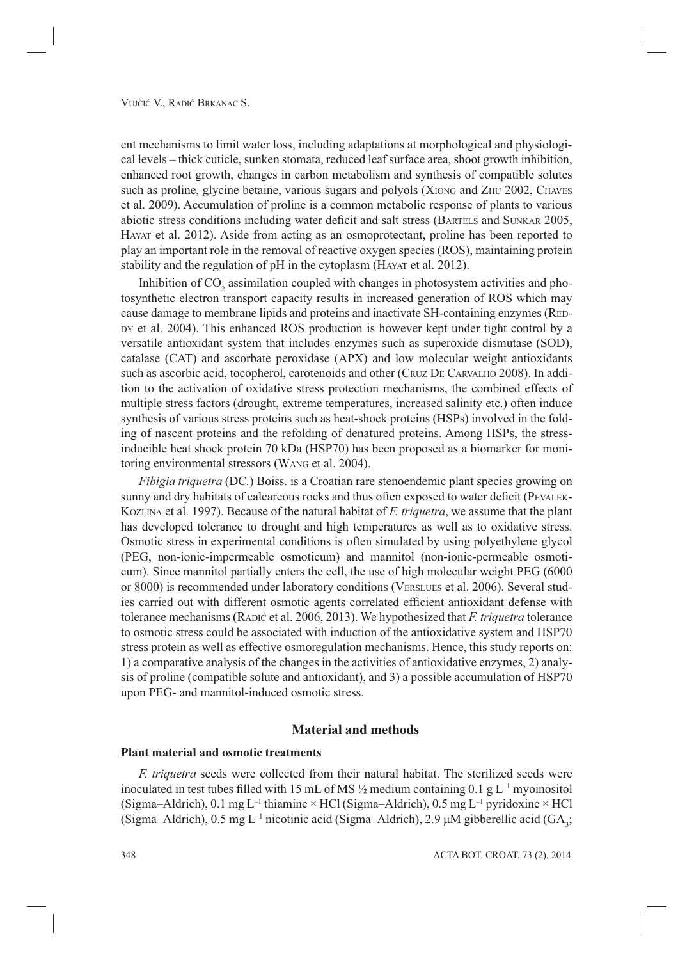ent mechanisms to limit water loss, including adaptations at morphological and physiological levels – thick cuticle, sunken stomata, reduced leaf surface area, shoot growth inhibition, enhanced root growth, changes in carbon metabolism and synthesis of compatible solutes such as proline, glycine betaine, various sugars and polyols (XIONG and ZHU 2002, CHAVES et al. 2009). Accumulation of proline is a common metabolic response of plants to various abiotic stress conditions including water deficit and salt stress (BARTELS and SUNKAR 2005, HAYAT et al. 2012). Aside from acting as an osmoprotectant, proline has been reported to play an important role in the removal of reactive oxygen species (ROS), maintaining protein stability and the regulation of pH in the cytoplasm (HAYAT et al. 2012).

Inhibition of  $CO_2$  assimilation coupled with changes in photosystem activities and photosynthetic electron transport capacity results in increased generation of ROS which may cause damage to membrane lipids and proteins and inactivate SH-containing enzymes (RED-DY et al. 2004). This enhanced ROS production is however kept under tight control by a versatile antioxidant system that includes enzymes such as superoxide dismutase (SOD), catalase (CAT) and ascorbate peroxidase (APX) and low molecular weight antioxidants such as ascorbic acid, tocopherol, carotenoids and other (CRUZ DE CARVALHO 2008). In addition to the activation of oxidative stress protection mechanisms, the combined effects of multiple stress factors (drought, extreme temperatures, increased salinity etc.) often induce synthesis of various stress proteins such as heat-shock proteins (HSPs) involved in the folding of nascent proteins and the refolding of denatured proteins. Among HSPs, the stressinducible heat shock protein 70 kDa (HSP70) has been proposed as a biomarker for monitoring environmental stressors (WANG et al. 2004).

*Fibigia triquetra* (DC*.*) Boiss. is a Croatian rare stenoendemic plant species growing on sunny and dry habitats of calcareous rocks and thus often exposed to water deficit (PEVALEK-KOZLINA et al. 1997). Because of the natural habitat of *F. triquetra*, we assume that the plant has developed tolerance to drought and high temperatures as well as to oxidative stress. Osmotic stress in experimental conditions is often simulated by using polyethylene glycol (PEG, non-ionic-impermeable osmoticum) and mannitol (non-ionic-permeable osmoticum). Since mannitol partially enters the cell, the use of high molecular weight PEG (6000 or 8000) is recommended under laboratory conditions (VERSLUES et al. 2006). Several studies carried out with different osmotic agents correlated efficient antioxidant defense with tolerance mechanisms (RADIĆ et al. 2006, 2013). We hypothesized that *F. trique tra* tolerance to osmotic stress could be associated with induction of the antioxidative system and HSP70 stress protein as well as effective osmoregulation mechanisms. Hence, this study reports on: 1) a comparative analysis of the changes in the activities of antioxidative enzymes, 2) analysis of proline (compatible solute and antioxidant), and 3) a possible accumulation of HSP70 upon PEG- and mannitol-induced osmotic stress.

# **Material and methods**

#### **Plant material and osmotic treatments**

*F. triquetra* seeds were collected from their natural habitat. The sterilized seeds were inoculated in test tubes filled with 15 mL of MS  $\frac{1}{2}$  medium containing 0.1 g L<sup>-1</sup> myoinositol (Sigma–Aldrich), 0.1 mg L<sup>-1</sup> thiamine × HCl (Sigma–Aldrich), 0.5 mg L<sup>-1</sup> pyridoxine × HCl (Sigma–Aldrich), 0.5 mg L<sup>-1</sup> nicotinic acid (Sigma–Aldrich), 2.9  $\mu$ M gibberellic acid (GA<sub>3</sub>;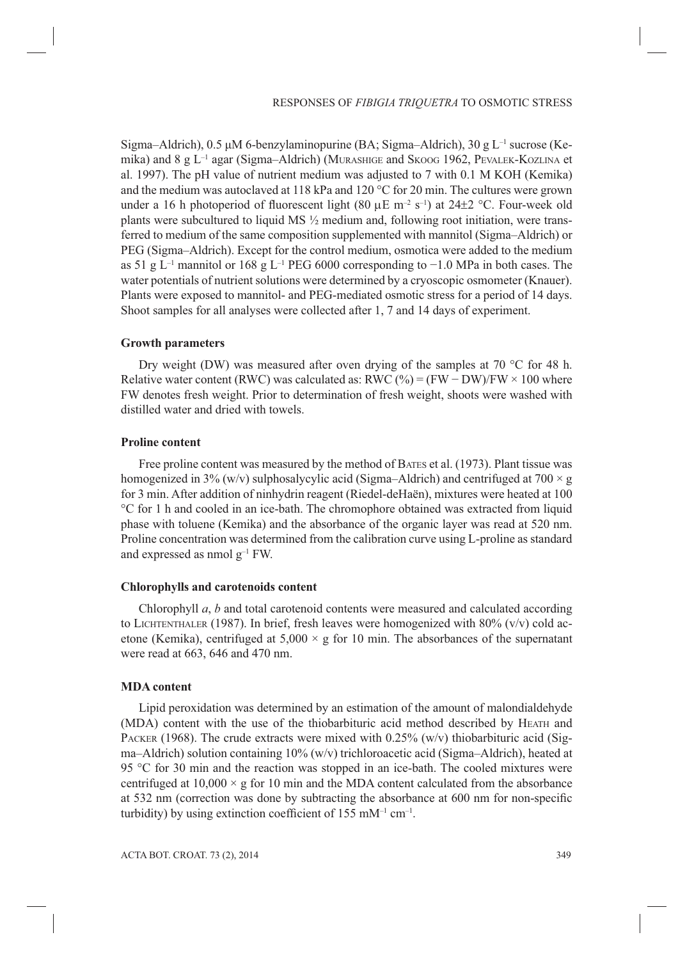Sigma–Aldrich), 0.5 μM 6-benzylaminopurine (BA; Sigma–Aldrich), 30 g L<sup>-1</sup> sucrose (Kemika) and  $8 \text{ g L}^{-1}$  agar (Sigma–Aldrich) (MURASHIGE and SKOOG 1962, PEVALEK-KOZLINA et al. 1997). The pH value of nutrient medium was adjusted to 7 with 0.1 M KOH (Kemika) and the medium was autoclaved at 118 kPa and 120 °C for 20 min. The cultures were grown under a 16 h photoperiod of fluorescent light (80  $\mu$ E m<sup>-2</sup> s<sup>-1</sup>) at 24±2 °C. Four-week old plants were subcultured to liquid MS ½ medium and, following root initiation, were transferred to medium of the same composition supplemented with mannitol (Sigma–Aldrich) or PEG (Sigma–Aldrich). Except for the control medium, osmotica were added to the medium as 51 g L–1 mannitol or 168 g L–1 PEG 6000 corresponding to −1.0 MPa in both cases. The water potentials of nutrient solutions were determined by a cryoscopic osmometer (Knauer). Plants were exposed to mannitol- and PEG-mediated osmotic stress for a period of 14 days. Shoot samples for all analyses were collected after 1, 7 and 14 days of experiment.

#### **Growth parameters**

Dry weight (DW) was measured after oven drying of the samples at 70 °C for 48 h. Relative water content (RWC) was calculated as: RWC (%) = (FW – DW)/FW  $\times$  100 where FW denotes fresh weight. Prior to determination of fresh weight, shoots were washed with distilled water and dried with towels.

#### **Proline content**

Free proline content was measured by the method of BATES et al. (1973). Plant tissue was homogenized in 3% (w/v) sulphosalycylic acid (Sigma–Aldrich) and centrifuged at 700  $\times$  g for 3 min. After addition of ninhydrin reagent (Riedel-deHaën), mixtures were heated at 100 °C for 1 h and cooled in an ice-bath. The chromophore obtained was extracted from liquid phase with toluene (Kemika) and the absorbance of the organic layer was read at 520 nm. Proline concentration was determined from the calibration curve using L-proline as standard and expressed as nmol  $g^{-1}$  FW.

#### **Chlorophylls and carotenoids content**

Chlorophyll *a*, *b* and total carotenoid contents were measured and calculated according to LICHTENTHALER (1987). In brief, fresh leaves were homogenized with  $80\%$  (v/v) cold acetone (Kemika), centrifuged at  $5,000 \times g$  for 10 min. The absorbances of the supernatant were read at 663, 646 and 470 nm.

#### **MDA content**

Lipid peroxidation was determined by an estimation of the amount of malondialdehyde (MDA) content with the use of the thiobarbituric acid method described by HEATH and PACKER (1968). The crude extracts were mixed with  $0.25\%$  (w/v) thiobarbituric acid (Sigma–Aldrich) solution containing  $10\%$  (w/v) trichloroacetic acid (Sigma–Aldrich), heated at 95 °C for 30 min and the reaction was stopped in an ice-bath. The cooled mixtures were centrifuged at  $10,000 \times g$  for 10 min and the MDA content calculated from the absorbance at 532 nm (correction was done by subtracting the absorbance at 600 nm for non-specific turbidity) by using extinction coefficient of 155 mM<sup>-1</sup> cm<sup>-1</sup>.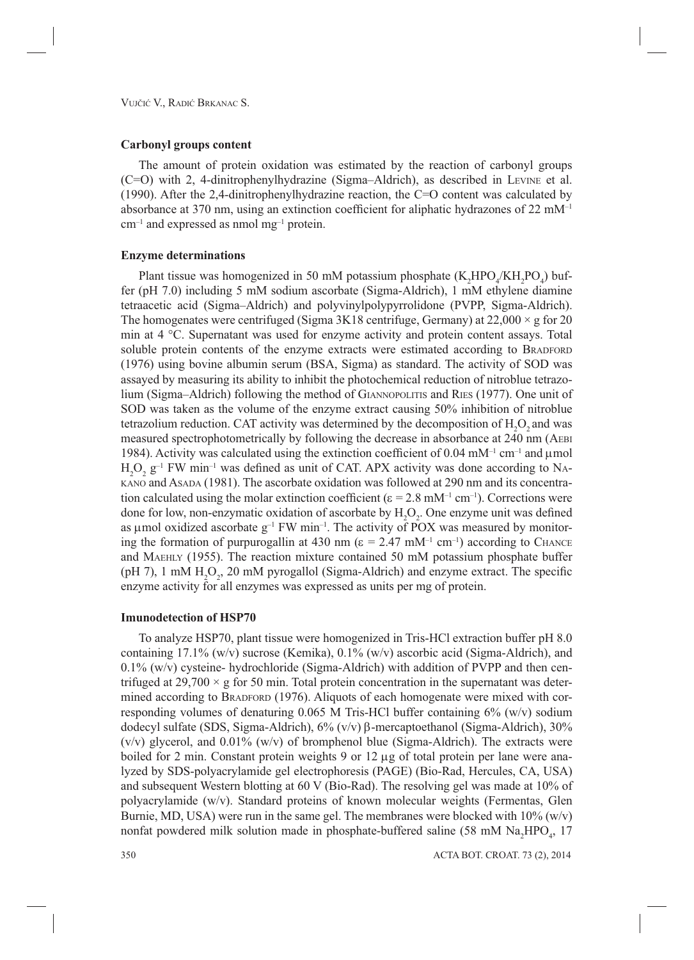### **Carbonyl groups content**

The amount of protein oxidation was estimated by the reaction of carbonyl groups (C=O) with 2, 4-dinitrophenylhydrazine (Sigma–Aldrich), as described in LEVINE et al. (1990). After the 2,4-dinitrophenylhydrazine reaction, the C=O content was calculated by absorbance at 370 nm, using an extinction coefficient for aliphatic hydrazones of 22  $mM^{-1}$  $cm^{-1}$  and expressed as nmol mg<sup>-1</sup> protein.

### **Enzyme determinations**

Plant tissue was homogenized in 50 mM potassium phosphate  $(K_2HPO_4/KH_2PO_4)$  buffer (pH 7.0) including 5 mM sodium ascorbate (Sigma-Aldrich), 1 mM ethylene diamine tetraacetic acid (Sigma–Aldrich) and polyvinylpolypyrrolidone (PVPP, Sigma-Aldrich). The homogenates were centrifuged (Sigma 3K18 centrifuge, Germany) at  $22,000 \times$  g for 20 min at 4 °C. Supernatant was used for enzyme activity and protein content assays. Total soluble protein contents of the enzyme extracts were estimated according to BRADFORD (1976) using bovine albumin serum (BSA, Sigma) as standard. The activity of SOD was assayed by measuring its ability to inhibit the photochemical reduction of nitroblue tetrazolium (Sigma–Aldrich) following the method of GIANNOPOLITIS and RIES (1977). One unit of SOD was taken as the volume of the enzyme extract causing 50% inhibition of nitroblue tetrazolium reduction. CAT activity was determined by the decomposition of  $H_2O_2$  and was measured spectrophotometrically by following the decrease in absorbance at 240 nm (AEBI 1984). Activity was calculated using the extinction coefficient of 0.04 mM<sup>-1</sup> cm<sup>-1</sup> and  $\mu$ mol  $H_2O_2$   $g^{-1}$  FW min<sup>-1</sup> was defined as unit of CAT. APX activity was done according to NA-KANO and ASADA (1981). The ascorbate oxidation was followed at 290 nm and its concentration calculated using the molar extinction coefficient ( $\varepsilon = 2.8$  mM<sup>-1</sup> cm<sup>-1</sup>). Corrections were done for low, non-enzymatic oxidation of ascorbate by  $H_2O_2$ . One enzyme unit was defined as umol oxidized ascorbate  $g^{-1}$  FW min<sup>-1</sup>. The activity of POX was measured by monitoring the formation of purpurogallin at 430 nm ( $\varepsilon = 2.47$  mM<sup>-1</sup> cm<sup>-1</sup>) according to CHANCE and MAEHLY (1955). The reaction mixture contained 50 mM potassium phosphate buffer (pH 7), 1 mM  $H_2O_2$ , 20 mM pyrogallol (Sigma-Aldrich) and enzyme extract. The specific enzyme activity for all enzymes was expressed as units per mg of protein.

# **Imunodetection of HSP70**

To analyze HSP70, plant tissue were homogenized in Tris-HCl extraction buffer pH 8.0 containing 17.1% (w/v) sucrose (Kemika),  $0.1\%$  (w/v) ascorbic acid (Sigma-Aldrich), and 0.1% (w/v) cysteine- hydrochloride (Sigma-Aldrich) with addition of PVPP and then centrifuged at 29,700  $\times$  g for 50 min. Total protein concentration in the supernatant was determined according to BRADFORD (1976). Aliquots of each homogenate were mixed with corresponding volumes of denaturing 0.065 M Tris-HCl buffer containing 6% (w/v) sodium dodecyl sulfate (SDS, Sigma-Aldrich),  $6\%$  (v/v) β-mercaptoethanol (Sigma-Aldrich), 30%  $(v/v)$  glycerol, and 0.01%  $(w/v)$  of bromphenol blue (Sigma-Aldrich). The extracts were boiled for 2 min. Constant protein weights 9 or 12  $\mu$ g of total protein per lane were analyzed by SDS-polyacrylamide gel electrophoresis (PAGE) (Bio-Rad, Hercules, CA, USA) and subsequent Western blotting at 60 V (Bio-Rad). The resolving gel was made at 10% of polyacrylamide (w/v). Standard proteins of known molecular weights (Fermentas, Glen Burnie, MD, USA) were run in the same gel. The membranes were blocked with  $10\%$  (w/v) nonfat powdered milk solution made in phosphate-buffered saline (58 mM  $\text{Na}_{2}\text{HPO}_{4}$ , 17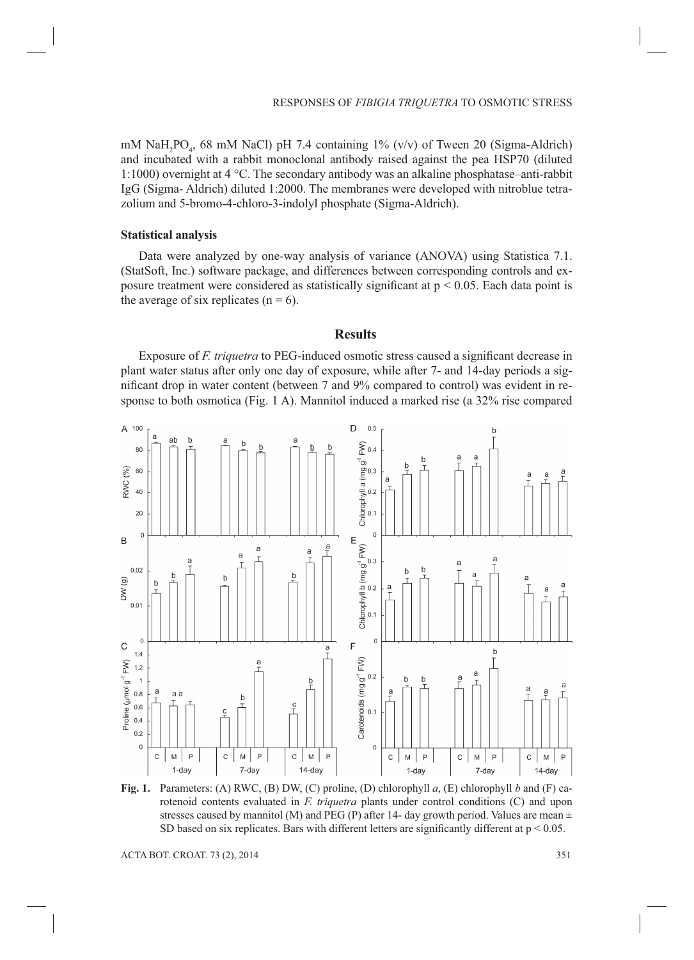mM  $\text{NaH}_2\text{PO}_4$ , 68 mM NaCl) pH 7.4 containing 1% (v/v) of Tween 20 (Sigma-Aldrich) and incubated with a rabbit monoclonal antibody raised against the pea HSP70 (diluted 1:1000) overnight at 4 °C. The secondary antibody was an alkaline phosphatase–anti-rabbit IgG (Sigma- Aldrich) diluted 1:2000. The membranes were developed with nitroblue tetrazolium and 5-bromo-4-chloro-3-indolyl phosphate (Sigma-Aldrich).

#### **Statistical analysis**

Data were analyzed by one-way analysis of variance (ANOVA) using Statistica 7.1. (StatSoft, Inc.) software package, and differences between corresponding controls and exposure treatment were considered as statistically significant at  $p \le 0.05$ . Each data point is the average of six replicates  $(n = 6)$ .

#### **Results**

Exposure of *F. triquetra* to PEG-induced osmotic stress caused a significant decrease in plant water status after only one day of exposure, while after 7- and 14-day periods a significant drop in water content (between 7 and 9% compared to control) was evident in response to both osmotica (Fig. 1 A). Mannitol induced a marked rise (a 32% rise compared



**Fig. 1.** Parameters: (A) RWC, (B) DW, (C) proline, (D) chlorophyll *a*, (E) chlorophyll *b* and (F) carotenoid contents evaluated in *F. triquetra* plants under control conditions (C) and upon stresses caused by mannitol (M) and PEG (P) after 14- day growth period. Values are mean  $\pm$ SD based on six replicates. Bars with different letters are significantly different at  $p < 0.05$ .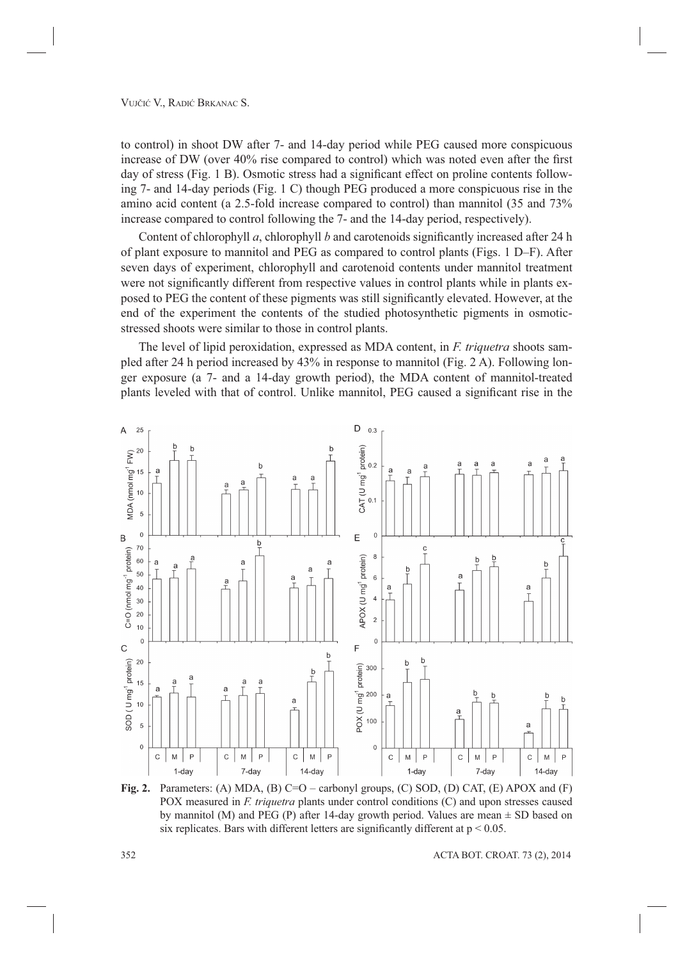to control) in shoot DW after 7- and 14-day period while PEG caused more conspicuous increase of DW (over 40% rise compared to control) which was noted even after the first day of stress (Fig. 1 B). Osmotic stress had a significant effect on proline contents following 7- and 14-day periods (Fig. 1 C) though PEG produced a more conspicuous rise in the amino acid content (a 2.5-fold increase compared to control) than mannitol (35 and 73% increase compared to control following the 7- and the 14-day period, respectively).

Content of chlorophyll *a*, chlorophyll *b* and carotenoids significantly increased after 24 h of plant exposure to mannitol and PEG as compared to control plants (Figs. 1 D–F). After seven days of experiment, chlorophyll and carotenoid contents under mannitol treatment were not significantly different from respective values in control plants while in plants exposed to PEG the content of these pigments was still significantly elevated. However, at the end of the experiment the contents of the studied photosynthetic pigments in osmoticstressed shoots were similar to those in control plants.

The level of lipid peroxidation, expressed as MDA content, in *F. triquetra* shoots sampled after 24 h period increased by 43% in response to mannitol (Fig. 2 A). Following longer exposure (a 7- and a 14-day growth period), the MDA content of mannitol-treated plants leveled with that of control. Unlike mannitol, PEG caused a significant rise in the



**Fig. 2.** Parameters: (A) MDA, (B) C=O – carbonyl groups, (C) SOD, (D) CAT, (E) APOX and (F) POX measured in *F. triquetra* plants under control conditions (C) and upon stresses caused by mannitol (M) and PEG (P) after 14-day growth period. Values are mean  $\pm$  SD based on six replicates. Bars with different letters are significantly different at  $p < 0.05$ .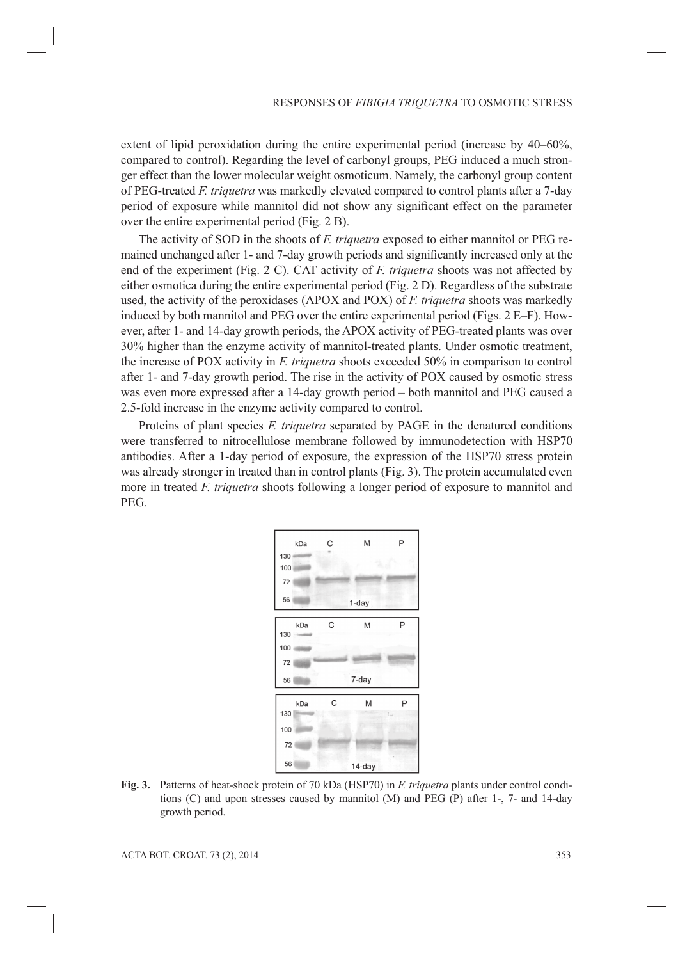extent of lipid peroxidation during the entire experimental period (increase by 40–60%, compared to control). Regarding the level of carbonyl groups, PEG induced a much stronger effect than the lower molecular weight osmoticum. Namely, the carbonyl group content of PEG-treated *F. triquetra* was markedly elevated compared to control plants after a 7-day period of exposure while mannitol did not show any significant effect on the parameter over the entire experimental period (Fig. 2 B).

The activity of SOD in the shoots of *F. triquetra* exposed to either mannitol or PEG remained unchanged after 1- and 7-day growth periods and significantly increased only at the end of the experiment (Fig. 2 C). CAT activity of *F. triquetra* shoots was not affected by either osmotica during the entire experimental period (Fig. 2 D). Regardless of the substrate used, the activity of the peroxidases (APOX and POX) of *F. triquetra* shoots was markedly induced by both mannitol and PEG over the entire experimental period (Figs. 2 E–F). However, after 1- and 14-day growth periods, the APOX activity of PEG-treated plants was over 30% higher than the enzyme activity of mannitol-treated plants. Under osmotic treatment, the increase of POX activity in *F. triquetra* shoots exceeded 50% in comparison to control after 1- and 7-day growth period. The rise in the activity of POX caused by osmotic stress was even more expressed after a 14-day growth period – both mannitol and PEG caused a 2.5-fold increase in the enzyme activity compared to control.

Proteins of plant species *F. triquetra* separated by PAGE in the denatured conditions were transferred to nitrocellulose membrane followed by immunodetection with HSP70 antibodies. After a 1-day period of exposure, the expression of the HSP70 stress protein was already stronger in treated than in control plants (Fig. 3). The protein accumulated even more in treated *F. triquetra* shoots following a longer period of exposure to mannitol and PEG.



**Fig. 3.** Patterns of heat-shock protein of 70 kDa (HSP70) in *F. triquetra* plants under control conditions (C) and upon stresses caused by mannitol (M) and PEG (P) after 1-, 7- and 14-day growth period.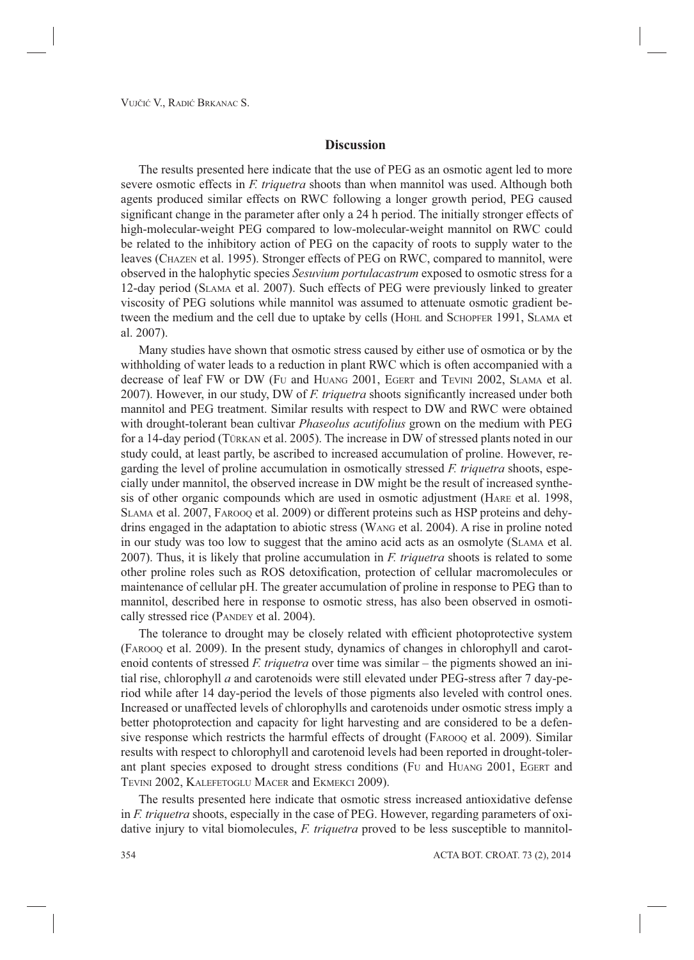#### **Discussion**

The results presented here indicate that the use of PEG as an osmotic agent led to more severe osmotic effects in *F. triquetra* shoots than when mannitol was used. Although both agents produced similar effects on RWC following a longer growth period, PEG caused significant change in the parameter after only a 24 h period. The initially stronger effects of high-molecular-weight PEG compared to low-molecular-weight mannitol on RWC could be related to the inhibitory action of PEG on the capacity of roots to supply water to the leaves (CHAZEN et al. 1995). Stronger effects of PEG on RWC, compared to mannitol, were observed in the halophytic species *Sesuvium portulacastrum* exposed to osmotic stress for a 12-day period (SLAMA et al. 2007). Such effects of PEG were previously linked to greater viscosity of PEG solutions while mannitol was assumed to attenuate osmotic gradient between the medium and the cell due to uptake by cells (HOHL and SCHOPFER 1991, SLAMA et al. 2007).

Many studies have shown that osmotic stress caused by either use of osmotica or by the withholding of water leads to a reduction in plant RWC which is often accompanied with a decrease of leaf FW or DW (FU and HUANG 2001, EGERT and TEVINI 2002, SLAMA et al. 2007). However, in our study, DW of *F. triquetra* shoots significantly increased under both mannitol and PEG treatment. Similar results with respect to DW and RWC were obtained with drought-tolerant bean cultivar *Phaseolus acutifolius* grown on the medium with PEG for a 14-day period (TÜRKAN et al. 2005). The increase in DW of stressed plants noted in our study could, at least partly, be ascribed to increased accumulation of proline. However, regarding the level of proline accumulation in osmotically stressed *F. triquetra* shoots, especially under mannitol, the observed increase in DW might be the result of increased synthesis of other organic compounds which are used in osmotic adjustment (HARE et al. 1998, SLAMA et al. 2007, FAROOQ et al. 2009) or different proteins such as HSP proteins and dehydrins engaged in the adaptation to abiotic stress (WANG et al. 2004). A rise in proline noted in our study was too low to suggest that the amino acid acts as an osmolyte (SLAMA et al. 2007). Thus, it is likely that proline accumulation in *F. triquetra* shoots is related to some other proline roles such as ROS detoxification, protection of cellular macromolecules or maintenance of cellular pH. The greater accumulation of proline in response to PEG than to mannitol, described here in response to osmotic stress, has also been observed in osmotically stressed rice (PANDEY et al. 2004).

The tolerance to drought may be closely related with efficient photoprotective system (FAROOQ et al. 2009). In the present study, dynamics of changes in chlorophyll and carotenoid contents of stressed *F. triquetra* over time was similar – the pigments showed an initial rise, chlorophyll *a* and carotenoids were still elevated under PEG-stress after 7 day-period while after 14 day-period the levels of those pigments also leveled with control ones. Increased or unaffected levels of chlorophylls and carotenoids under osmotic stress imply a better photoprotection and capacity for light harvesting and are considered to be a defensive response which restricts the harmful effects of drought (FAROOQ et al. 2009). Similar results with respect to chlorophyll and carotenoid levels had been reported in drought-tolerant plant species exposed to drought stress conditions (FU and HUANG 2001, EGERT and TEVINI 2002, KALEFETOGLU MACER and EKMEKCI 2009).

The results presented here indicate that osmotic stress increased antioxidative defense in *F. triquetra* shoots, especially in the case of PEG. However, regarding parameters of oxidative injury to vital biomolecules, *F. triquetra* proved to be less susceptible to mannitol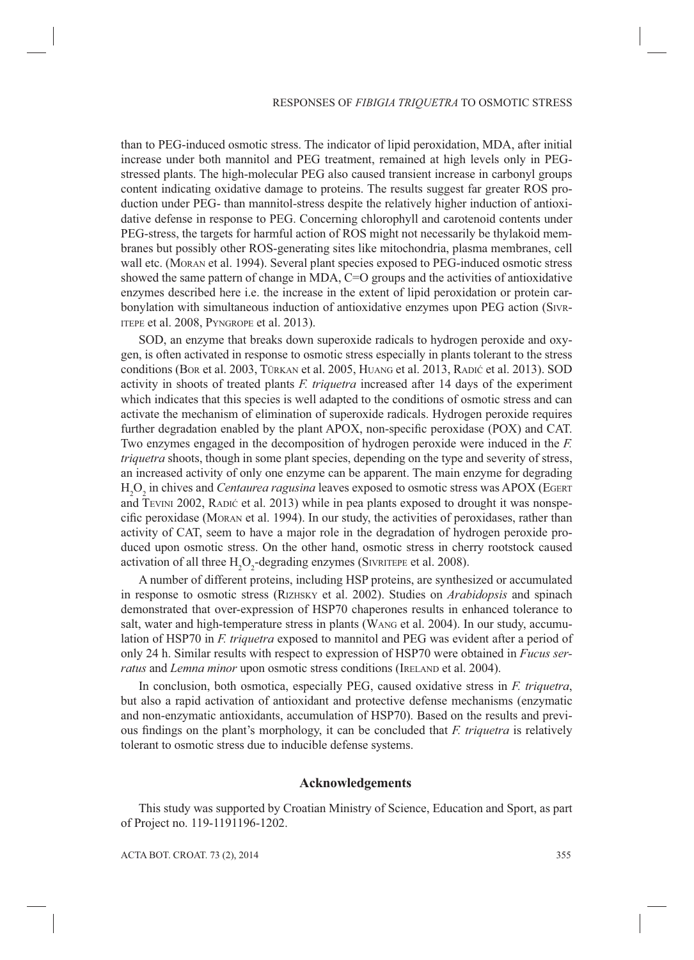than to PEG-induced osmotic stress. The indicator of lipid peroxidation, MDA, after initial increase under both mannitol and PEG treatment, remained at high levels only in PEGstressed plants. The high-molecular PEG also caused transient increase in carbonyl groups content indicating oxidative damage to proteins. The results suggest far greater ROS production under PEG- than mannitol-stress despite the relatively higher induction of antioxidative defense in response to PEG. Concerning chlorophyll and carotenoid contents under PEG-stress, the targets for harmful action of ROS might not necessarily be thylakoid membranes but possibly other ROS-generating sites like mitochondria, plasma membranes, cell wall etc. (MORAN et al. 1994). Several plant species exposed to PEG-induced osmotic stress showed the same pattern of change in MDA, C=O groups and the activities of antioxidative enzymes described here i.e. the increase in the extent of lipid peroxidation or protein carbon ylation with simultaneous induction of antioxidative enzymes upon PEG action (SIVR-ITEPE et al. 2008, PYNGROPE et al. 2013).

SOD, an enzyme that breaks down superoxide radicals to hydrogen peroxide and oxygen, is often activated in response to osmotic stress especially in plants tolerant to the stress conditions (BOR et al. 2003, TÜRKAN et al. 2005, HUANG et al. 2013, RADIĆ et al. 2013). SOD activity in shoots of treated plants *F. triquetra* increased after 14 days of the experiment which indicates that this species is well adapted to the conditions of osmotic stress and can activate the mechanism of elimination of superoxide radicals. Hydrogen peroxide requires further degradation enabled by the plant APOX, non-specific peroxidase (POX) and CAT. Two enzymes engaged in the decomposition of hydrogen peroxide were induced in the *F. triquetra* shoots, though in some plant species, depending on the type and severity of stress, an increased activity of only one enzyme can be apparent. The main enzyme for degrading H2 O2 in chives and *Centaurea ragusina* leaves exposed to osmotic stress was APOX (EGERT and TEVINI 2002, RADIĆ et al. 2013) while in pea plants exposed to drought it was nonspecific peroxidase (MORAN et al. 1994). In our study, the activities of peroxidases, rather than activity of CAT, seem to have a major role in the degradation of hydrogen peroxide produced upon osmotic stress. On the other hand, osmotic stress in cherry rootstock caused activation of all three  $H_2O_2$ -degrading enzymes (SIVRITEPE et al. 2008).

A number of different proteins, including HSP proteins, are synthesized or accumulated in response to osmotic stress (RIZHSKY et al. 2002). Studies on *Arabidopsis* and spinach demonstrated that over-expression of HSP70 chaperones results in enhanced tolerance to salt, water and high-temperature stress in plants (WANG et al. 2004). In our study, accumulation of HSP70 in *F. triquetra* exposed to mannitol and PEG was evident after a period of only 24 h. Similar results with respect to expression of HSP70 were obtained in *Fucus serratus* and *Lemna minor* upon osmotic stress conditions (IRELAND et al. 2004).

In conclusion, both osmotica, especially PEG, caused oxidative stress in *F. triquetra*, but also a rapid activation of antioxidant and protective defense mechanisms (enzymatic and non-enzymatic antioxidants, accumulation of HSP70). Based on the results and previous findings on the plant's morphology, it can be concluded that *F. triquetra* is relatively tolerant to osmotic stress due to inducible defense systems.

# **Acknowledgements**

This study was supported by Croatian Ministry of Science, Education and Sport, as part of Project no. 119-1191196-1202.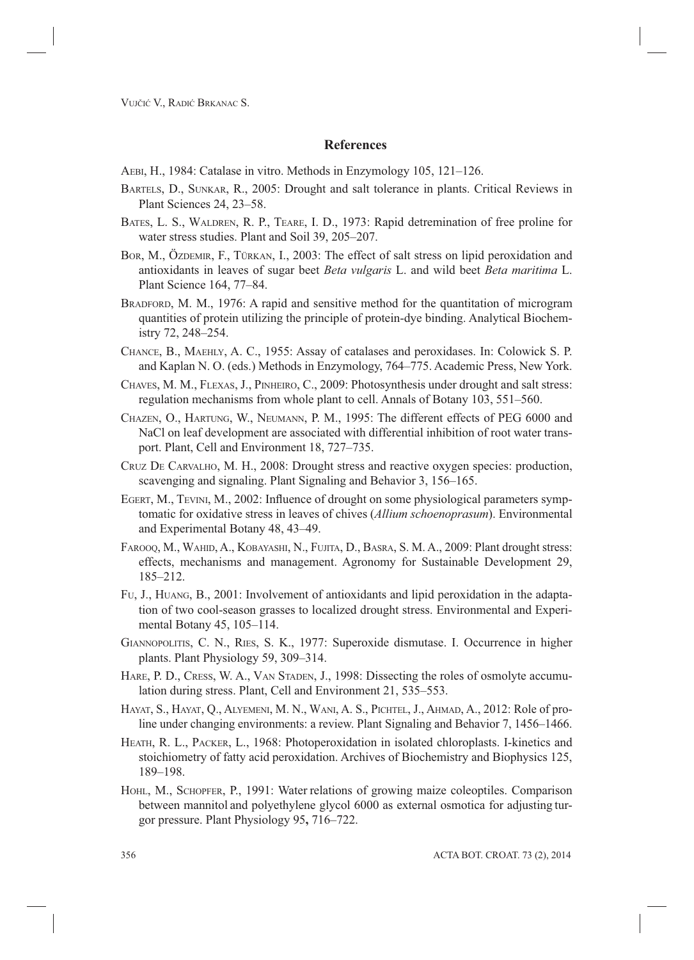### **References**

- AEBI, H., 1984: Catalase in vitro. Methods in Enzymology 105, 121–126.
- BARTELS, D., SUNKAR, R., 2005: Drought and salt tolerance in plants. Critical Reviews in Plant Sciences 24, 23–58.
- BATES, L. S., WALDREN, R. P., TEARE, I. D., 1973: Rapid detremination of free proline for water stress studies. Plant and Soil 39, 205–207.
- BOR, M., ÖZDEMIR, F., TÜRKAN, I., 2003: The effect of salt stress on lipid peroxidation and antioxidants in leaves of sugar beet *Beta vulgaris* L. and wild beet *Beta maritima* L. Plant Science 164, 77–84.
- BRADFORD, M. M., 1976: A rapid and sensitive method for the quantitation of microgram quantities of protein utilizing the principle of protein-dye binding. Analytical Biochemistry 72, 248–254.
- CHANCE, B., MAEHLY, A. C., 1955: Assay of catalases and peroxidases. In: Colowick S. P. and Kaplan N. O. (eds.) Methods in Enzymology, 764–775. Academic Press, New York.
- CHAVES, M. M., FLEXAS, J., PINHEIRO, C., 2009: Photosynthesis under drought and salt stress: regulation mechanisms from whole plant to cell. Annals of Botany 103, 551–560.
- CHAZEN, O., HARTUNG, W., NEUMANN, P. M., 1995: The different effects of PEG 6000 and NaCl on leaf development are associated with differential inhibition of root water transport. Plant, Cell and Environment 18, 727–735.
- CRUZ DE CARVALHO, M. H., 2008: Drought stress and reactive oxygen species: production, scavenging and signaling. Plant Signaling and Behavior 3, 156–165.
- EGERT, M., TEVINI, M., 2002: Influence of drought on some physiological parameters symptomatic for oxidative stress in leaves of chives (*Allium schoenoprasum*). Environmental and Experimental Botany 48, 43–49.
- FAROOQ, M., WAHID, A., KOBAYASHI, N., FUJITA, D., BASRA, S. M. A., 2009: Plant drought stress: effects, mechanisms and management. Agronomy for Sustainable Development 29, 185–212.
- FU, J., HUANG, B., 2001: Involvement of antioxidants and lipid peroxidation in the adaptation of two cool-season grasses to localized drought stress. Environmental and Experimental Botany 45, 105–114.
- GIANNOPOLITIS, C. N., RIES, S. K., 1977: Superoxide dismutase. I. Occurrence in higher plants. Plant Physiology 59, 309–314.
- HARE, P. D., CRESS, W. A., VAN STADEN, J., 1998: Dissecting the roles of osmolyte accumulation during stress. Plant, Cell and Environment 21, 535–553.
- HAYAT, S., HAYAT, Q., ALYEMENI, M. N., WANI, A. S., PICHTEL, J., AHMAD, A., 2012: Role of proline under changing environments: a review. Plant Signaling and Behavior 7, 1456–1466.
- HEATH, R. L., PACKER, L., 1968: Photoperoxidation in isolated chloroplasts. I-kinetics and stoichiometry of fatty acid peroxidation. Archives of Biochemistry and Biophysics 125, 189–198.
- HOHL, M., SCHOPFER, P., 1991: Water relations of growing maize coleoptiles. Comparison between mannitol and polyethylene glycol 6000 as external osmotica for adjusting turgor pressure. Plant Physiology 95**,** 716–722.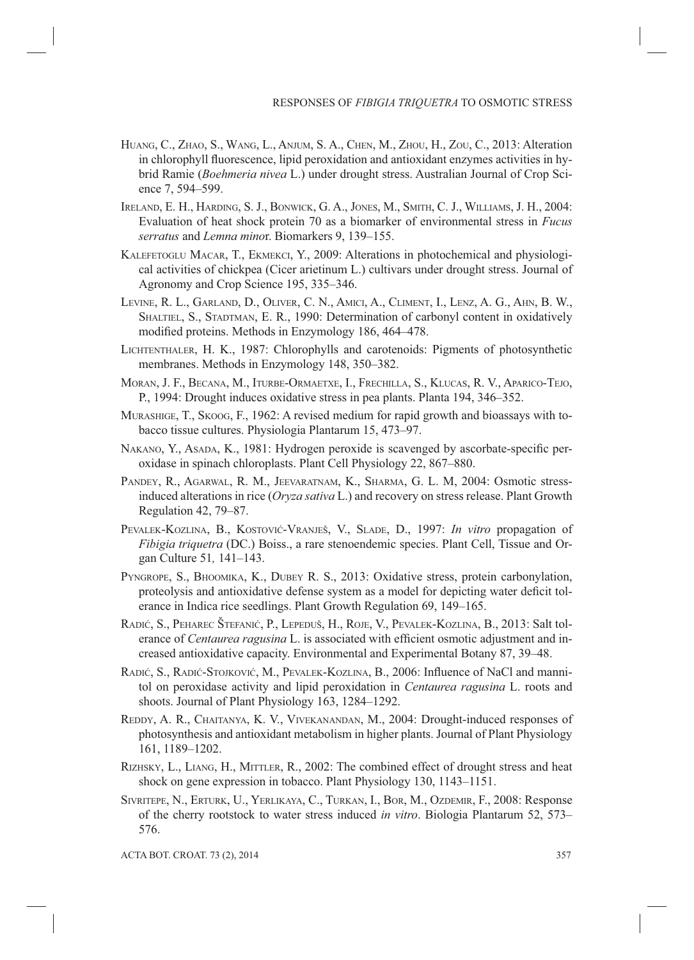- HUANG, C., ZHAO, S., WANG, L., ANJUM, S. A., CHEN, M., ZHOU, H., ZOU, C., 2013: Alteration in chlorophyll fluorescence, lipid peroxidation and antioxidant enzymes activities in hybrid Ramie (*Boehmeria nivea* L.) under drought stress. Australian Journal of Crop Science 7, 594–599.
- IRELAND, E. H., HARDING, S. J., BONWICK, G. A., JONES, M., SMITH, C. J., WILLIAMS, J. H., 2004: Evaluation of heat shock protein 70 as a biomarker of environmental stress in *Fucus serratus* and *Lemna mino*r. Biomarkers 9, 139–155.
- KALEFETOGLU MACAR, T., EKMEKCI, Y., 2009: Alterations in photochemical and physiological activities of chickpea (Cicer arietinum L.) cultivars under drought stress. Journal of Agronomy and Crop Science 195, 335–346.
- LEVINE, R. L., GARLAND, D., OLIVER, C. N., AMICI, A., CLIMENT, I., LENZ, A. G., AHN, B. W., SHALTIEL, S., STADTMAN, E. R., 1990: Determination of carbonyl content in oxidatively modified proteins. Methods in Enzymology 186, 464–478.
- LICHTENTHALER, H. K., 1987: Chlorophylls and carotenoids: Pigments of photosynthetic membranes. Methods in Enzymology 148, 350–382.
- MORAN, J. F., BECANA, M., ITURBE-ORMAETXE, I., FRECHILLA, S., KLUCAS, R. V., APARICO-TEJO, P., 1994: Drought induces oxidative stress in pea plants. Planta 194, 346–352.
- MURASHIGE, T., SKOOG, F., 1962: A revised medium for rapid growth and bioassays with tobacco tissue cultures. Physiologia Plantarum 15, 473–97.
- NAKANO, Y., ASADA, K., 1981: Hydrogen peroxide is scavenged by ascorbate-specific peroxidase in spinach chloroplasts. Plant Cell Physiology 22, 867–880.
- PANDEY, R., AGARWAL, R. M., JEEVARATNAM, K., SHARMA, G. L. M, 2004: Osmotic stressinduced alterations in rice (*Oryza sativa* L.) and recovery on stress release. Plant Growth Regulation 42, 79–87.
- PEVALEK-KOZLINA, B., KOSTOVIĆ-VRANJEŠ, V., SLADE, D., 1997: *In vitro* propagation of *Fibigia triquetra* (DC.) Boiss., a rare stenoendemic species. Plant Cell, Tissue and Organ Culture 51*,* 141–143.
- PYNGROPE, S., BHOOMIKA, K., DUBEY R. S., 2013: Oxidative stress, protein carbonylation, proteolysis and antioxidative defense system as a model for depicting water deficit tolerance in Indica rice seedlings. Plant Growth Regulation 69, 149–165.
- RADIĆ, S., PEHAREC ŠTEFANIĆ, P., LEPEDUŠ, H., ROJE, V., PEVALEK-KOZLINA, B., 2013: Salt tolerance of *Centaurea ragusina* L. is associated with efficient osmotic adjustment and increased antioxidative capacity. Environmental and Experimental Botany 87, 39–48.
- RADIĆ, S., RADIĆ-STOJKOVIĆ, M., PEVALEK-KOZLINA, B., 2006: Influence of NaCl and mannitol on peroxidase activity and lipid peroxidation in *Centaurea ragusina* L. roots and shoots. Journal of Plant Physiology 163, 1284–1292.
- REDDY, A. R., CHAITANYA, K. V., VIVEKANANDAN, M., 2004: Drought-induced responses of photosynthesis and antioxidant metabolism in higher plants. Journal of Plant Physiology 161, 1189–1202.
- RIZHSKY, L., LIANG, H., MITTLER, R., 2002: The combined effect of drought stress and heat shock on gene expression in tobacco. Plant Physiology 130, 1143–1151.
- SIVRITEPE, N., ERTURK, U., YERLIKAYA, C., TURKAN, I., BOR, M., OZDEMIR, F., 2008: Response of the cherry rootstock to water stress induced *in vitro*. Biologia Plantarum 52, 573– 576.